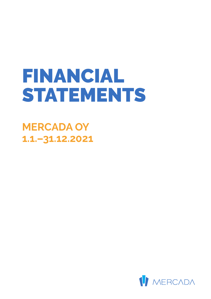# FINANCIAL STATEMENTS

**MERCADA OY 1.1.–31.12.2021**

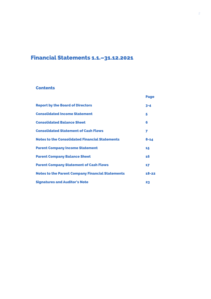# Financial Statements 1.1.–31.12.2021

#### **Contents**

|                                                         | <b>Page</b> |
|---------------------------------------------------------|-------------|
| <b>Report by the Board of Directors</b>                 | $3 - 4$     |
| <b>Consolidated Income Statement</b>                    | 5           |
| <b>Consolidated Balance Sheet</b>                       | 6           |
| <b>Consolidated Statement of Cash Flows</b>             | 7           |
| <b>Notes to the Consolidated Financial Statements</b>   | $8 - 14$    |
| <b>Parent Company Income Statement</b>                  | 15          |
| <b>Parent Company Balance Sheet</b>                     | 16          |
| <b>Parent Company Statement of Cash Flows</b>           | 17          |
| <b>Notes to the Parent Company Financial Statements</b> | $18 - 22$   |
| <b>Signatures and Auditor's Note</b>                    | 23          |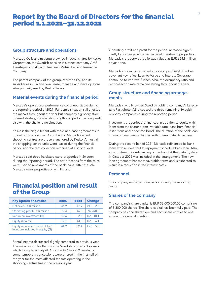# Report by the Board of Directors for the financial period 1.1.2021–31.12.2021

#### **Group structure and operations**

Mercada Oy is a joint venture owned in equal shares by Kesko Corporation, the Swedish pension insurance company AMF Tjänstepension AB and Ilmarinen Mutual Pension Insurance Company.

The parent company of the group, Mercada Oy, and its subsidiaries in Finland own, lease, manage and develop store sites primarily used by Kesko Group.

#### **Material events during the financial period**

Mercada`s operational performance continued stable during the reporting period of 2021. Pandemic situation still affected the market throughout the year but company`s grocery store focused strategy showed its strength and performed duly well also with the challenging situation.

Kesko is the single tenant with triple-net lease agreements in 33 out of 35 properties. Also, the two Mercada owned shopping centres are grocery-anchored by Kesko. Almost all the shopping centre units were leased during the financial period and the rent collection remained at a strong level.

Mercada sold three hardware store properties in Sweden during the reporting period. The net proceeds from the sales were used to repayments of the bank loans. After the sale Mercada owns properties only in Finland.

## Financial position and result of the Group

| <b>Key figures and ratios</b>                                       | 2021 | 2020 | <b>Change</b> |
|---------------------------------------------------------------------|------|------|---------------|
| Net sales, EUR million                                              | 46.9 | 47.9 | (%)<br>$-2.0$ |
| Operating profit, EUR million                                       | 79.3 | 16.2 | $(%)$ 390.8   |
| Return on investment (%)                                            | 12.6 | 2.5  | $(pp)$ 10.1   |
| Equity ratio (%)                                                    | 19.7 | 13.6 | 6.1<br>(pp)   |
| Equity ratio when shareholders'<br>loans are included in equity (%) | 44.9 | 39.4 | 5.5<br>(pp)   |

Rental income decreased slightly compared to previous year. The main reason for that was the Swedish property disposals which took place in April. Also due to Covid-19 pandemic some temporary concessions were offered in the first half of the year for the most affected tenants operating in the shopping centres like in the previous year.

Operating profit and profit for the period increased significantly by a change in the fair value of investment properties. Mercada's property portfolio was valued at EUR 654.8 million at year-end.

Mercada's solvency remained at a very good level. The loan covenant key ratios, Loan-to-Value and Interest Coverage, continued to improve further. Also, the occupancy ratio and rent collection rate remained strong throughout the year.

#### **Group structure and financing arrangements**

Mercada's wholly owned Swedish holding company Ankaregatans Fastigheter AB disposed the three remaining Swedish property companies during the reporting period.

Investment properties are financed in addition to equity with loans from the shareholders, variable rate loans from financial institutions and a secured bond. The duration of the bank loan interests have been extended with interest rate derivatives.

During the second half of 2021 Mercada refinanced its bank loans with a 5-year bullet repayment schedule bank loan. Also, a commitment for refinancing of the bond at the maturity date in October 2022 was included in the arrangement. The new loan agreement has more favorable terms and is expected to result in a reduction in the interest costs.

#### **Personnel**

The company employed one person during the reporting period.

#### **Shares of the company**

The company's share capital is EUR 33,000,000.00 comprising of 3,300,000 shares. The share capital has been fully paid. The company has one share type and each share entitles to one vote at the general meeting.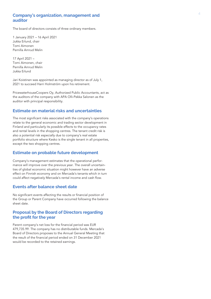#### <sup>4</sup> **Company's organization, management and auditor**

The board of directors consists of three ordinary members.

1 January 2021 – 16 April 2021 Jukka Erlund, chair Tomi Aimonen Pernilla Arnrud Melin

17 April 2021 – Tomi Aimonen, chair Pernilla Arnrud Melin Jukka Erlund

Jari Koistinen was appointed as managing director as of July 1, 2021 to succeed Harri Holmström upon his retirement.

PricewaterhouseCoopers Oy, Authorized Public Accountants, act as the auditors of the company with APA Olli-Pekka Salonen as the auditor with principal responsibility.

#### **Estimate on material risks and uncertainties**

The most significant risks associated with the company's operations relate to the general economic and trading sector development in Finland and particularly its possible effects to the occupancy rates and rental levels in the shopping centres. The tenant credit risk is also a potential risk especially due to company's real estate portfolio structure where Kesko is the single tenant in all properties, except the two shopping centres.

#### **Estimate on probable future development**

Company's management estimates that the operational perfor mance will improve over the previous year. The overall uncertain ties of global economic situation might however have an adverse effect on Finnish economy and on Mercada's tenants which in turn could affect negatively Mercada's rental income and cash flow.

#### **Events after balance sheet date**

No significant events affecting the results or financial position of the Group or Parent Company have occurred following the balance sheet date.

#### **Proposal by the Board of Directors regarding the profit for the year**

Parent company's net loss for the financial period was EUR 479,735.99. The company has no distributable funds. Mercada's Board of Directors proposes to the Annual General Meeting that the result of the financial period ended on 31 December 2021 would be recorded to the retained earnings.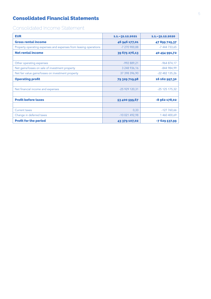## Consolidated Financial Statements

# Consolidated Income Statement

| <b>EUR</b>                                                       | 1.1. - 31.12.2021 | $1.1 - 31.12.2020$ |
|------------------------------------------------------------------|-------------------|--------------------|
| <b>Gross rental income</b>                                       | 46 946 177,01     | 47899725,37        |
| Property operating expenses and expenses from leasing operations | -7 270 900,88     | -7 444 733,65      |
| <b>Net rental income</b>                                         | 39 675 276,13     | 40 454 991,72      |
|                                                                  |                   |                    |
| Other operating expenses                                         | $-992889,21$      | $-964874,17$       |
| Net gains/losses on sale of investment property                  | 3 248 936,16      | $-844984,99$       |
| Net fair value gains/losses on investment property               | 37 398 396,90     | -22 482 135,26     |
| <b>Operating profit</b>                                          | 79 329 719,98     | 16 162 997,30      |
|                                                                  |                   |                    |
| Net financial income and expenses                                | -25 929 120,31    | $-25$ 125 175,32   |
|                                                                  |                   |                    |
| <b>Profit before taxes</b>                                       | 53 400 599,67     | -8 962 178,02      |
|                                                                  |                   |                    |
| Current taxes                                                    | 0,33              | $-127760,66$       |
| Change in deferred taxes                                         | -10 021 492,98    | 1 460 400,69       |
| <b>Profit for the period</b>                                     | 43 379 107,02     | $-7629537.99$      |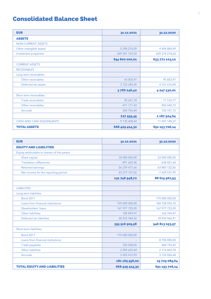# Consolidated Balance Sheet

| <b>EUR</b>                       | 31.12.2021          | 31.12.2020     |
|----------------------------------|---------------------|----------------|
| <b>ASSETS</b>                    |                     |                |
| <b>NON-CURRENT ASSETS</b>        |                     |                |
| Other intangible assets          | 5 298 274,09        | 4 496 884,49   |
| Investment properties            | 649 501 725,92      | 629 274 218,63 |
|                                  | 654 800 000,01      | 633 771 103,12 |
| <b>CURRENT ASSETS</b>            |                     |                |
| <b>RECEIVABLES</b>               |                     |                |
| Long term receivables            |                     |                |
| Other receivables                | 43 003,97           | 95 853,97      |
| Deferred tax assets              | 3 7 2 3 2 4 2 , 4 5 | 4 151 676,04   |
|                                  | 3766246,42          | 4 247 530,01   |
| Short term receivables           |                     |                |
| Trade receivables                | 50 631,18           | 71 516,77      |
| Other receivables                | 471 171,43          | 965 640,72     |
| <b>Accruals</b>                  | 205 756,84          | 150 767,15     |
|                                  | 727 559,45          | 1 187 924,64   |
| <b>CASH AND CASH EQUIVALENTS</b> | 9 135 608,44        | 11 947 148,37  |
| <b>TOTAL ASSETS</b>              | 668 429 414,32      | 651 153 706,14 |

| <b>EUR</b>                                  | 31.12.2021     | 31.12.2020     |
|---------------------------------------------|----------------|----------------|
| <b>EQUITY AND LIABILITIES</b>               |                |                |
| Equity attributable to owners of the parent |                |                |
| Share capital                               | 33 000 000.00  | 33 000 000,00  |
| <b>Translation differences</b>              | $-891635,96$   | $-638021,64$   |
| <b>Retained earnings</b>                    | 56 259 477,66  | 63 883 122,56  |
| Net income for the reporting period         | 43 379 107,02  | -7 629 537,99  |
|                                             | 131 746 948,72 | 88 615 562,93  |
|                                             |                |                |
| <b>LIABILITIES</b>                          |                |                |
| Long-term liabilities                       |                |                |
| <b>Bond 2017</b>                            |                | 175 000 000,00 |
| Loans from financial institutions           | 159 000 000,00 | 184 728 592,10 |
| Shareholders' loans                         | 167 977 725,09 | 167 977 725,09 |
| Other liabilities                           | 185 839,97     | 162 769,47     |
| Deferred tax liabilities                    | 28 353 344,52  | 18 943 966,91  |
|                                             | 355 516 909,58 | 546 813 053,57 |
| Short-term liabilities                      |                |                |
| <b>Bond 2017</b>                            | 175 000 000,00 |                |
| Loans from financial institutions           |                | 8 750 000,00   |
| Trade payables                              | 702 508,05     | 468 193,42     |
| Other liabilities                           | 2 009 635,04   | 2774869,78     |
| <b>Accruals</b>                             | 3 453 412,93   | 3 732 026,44   |
|                                             | 181 165 556,02 | 15725089,64    |
| <b>TOTAL EQUITY AND LIABILITIES</b>         | 668 429 414,32 | 651 153 706,14 |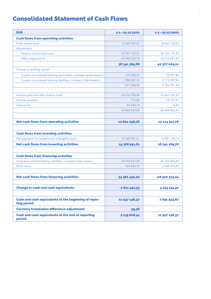# Consolidated Statement of Cash Flows

| <b>EUR</b>                                                          | 1.1. - 31.12.2021 | $1.1 - 31.12.2020$ |
|---------------------------------------------------------------------|-------------------|--------------------|
| <b>Cash flows from operating activities</b>                         |                   |                    |
| Profit before taxes                                                 | 53 400 599,67     | -8 962 178,02      |
| Adjustments                                                         |                   |                    |
| Finance income and costs                                            | 25 929 120,31     | 25 125 175,32      |
| Other adjustments                                                   | -40 988 335,30    | 24 214 031,80      |
|                                                                     | 38 341 384,68     | 40 377 029,10      |
| Change in working capital                                           |                   |                    |
| Current non-interest bearing receivables, increase (-)/decrease(+)  | 410 580,59        | 72 931,48          |
| Current non-interest bearing liabilities, increase (-)/decrease(+)  | -1 282 207,53     | 2 113 359,96       |
|                                                                     | $-871626,94$      | 2 186 291,44       |
|                                                                     |                   |                    |
| Interest paid and other finance costs                               | -24 616 754,40    | $-25463105,32$     |
| Interest received                                                   | 776,86            | 14 107,81          |
| <b>Taxes paid</b>                                                   | $-52682,14$       | $-5,25$            |
|                                                                     | -24 668 659,68    | -25 449 002,76     |
|                                                                     |                   |                    |
| <b>Net cash flows from operating activities</b>                     | 12801098,06       | 17 114 317,78      |
|                                                                     |                   |                    |
| <b>Cash flows from investing activities</b>                         |                   |                    |
| Net payments for tangible and intangible assets                     | 19 368 951,61     | 16 041 169,76      |
| <b>Net cash flows from investing activities</b>                     | 19 368 951,61     | 16 041 169,76      |
|                                                                     |                   |                    |
| <b>Cash flows from financing activities</b>                         |                   |                    |
| Long-term interest-bearing liabilities, increase(+)/decrease(-)     | -34 454 637,50    | $-26752262,69$     |
| Other items                                                         | $-526852,72$      | -2 148 070,35      |
|                                                                     |                   |                    |
| <b>Net cash flows from financing activities</b>                     | -34 981 490,22    | -28 900 333,04     |
|                                                                     |                   |                    |
| <b>Change in cash and cash equivalents</b>                          | $-2811440,55$     | 4 255 154,50       |
|                                                                     |                   |                    |
| Cash and cash equivalents at the beginning of repor-<br>ting period | 11 947 148,37     | 7691993,87         |
| <b>Currency translation difference adjustment</b>                   | 99,38             |                    |
| Cash and cash equivalents at the end of reporting<br>period         | 9135608,44        | 11 947 148,37      |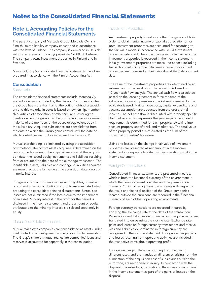## Notes to the Consolidated Financial Statements

#### **Note 1. Accounting Policies for the Consolidated Financial Statements**

The parent company of Mercada Group, Mercada Oy, is a Finnish limited liability company constituted in accordance with the laws of Finland. The company is domiciled in Helsinki with its registered address Työpajankatu 12, 00580 Helsinki. The company owns investment properties in Finland and in Sweden.

Mercada Group's consolidated financial statements have been prepared in accordance wih the Finnish Accounting Act.

#### **Consolidation**

#### Subsidiaries

The consolidated financial statements include Mercada Oy and subsidiaries controlled by the Group. Control exists when the Group has more than half of the voting rights of a subsidiary and this majority in votes is based on ownership, membership, articles of association or other similar rules or agreements or when the group has the right to nominate or dismiss majority of the members of the board or equivalent body in the subsidiary. Acquired subsidiaries are consolidated from the date on which the Group gains control until the date on which control ceases. Subsidiaries are listed in note 11.

Mutual shareholding is eliminated by using the acquisition cost method. The cost of assets acquired is determined on the basis of the fair value of the acquired assets as at the acquisition date, the issued equity instruments and liabilities resulting from or assumed on the date of the exchange transaction. The identifiable assets, liabilities and contingent liabilities acquired are measured at the fair value at the acquisition date, gross of minority interest.

Intragroup transactions, receivables and payables, unrealised profits and internal distributions of profits are eliminated when preparing the consolidated financial statements. Unrealised losses are not eliminated if the loss is due to the impairment of an asset. Minority interest in the profit for the period is disclosed in the income statement and the amount of equity attributable to the minority interest is disclosed separately in equity.

#### Mutual Real Estate Companies

Mutual real estate companies are consolidated as assets under joint control on a line-by-line basis in proportion to ownership. The Group's share of mutual real estate companies' loans and reserves is accounted for separately in the consolidation.

#### Investment Properties

An investment property is real estate that the group holds in order to obtain rental income or capital appreciation or for both. Investment properties are accounted for according to the fair value model in accordance with IAS 40 Investment properties -standard where the change in the fair value of the investment properties is recorded in the income statement. Initially investment properties are measured at cost, including transaction costs. After the initial measurement investment properties are measured at their fair value at the balance sheet date.

The value of the investment properties are determined by an external authorized evaluator. The valuation is based on 10-year cash flow analysis. The annual cash flow is calculated based on the lease agreement in force the time of the valuation. For vacant premises a market rent assessed by the evaluator is used. Maintenance costs, capital expenditure and vacancy assumption are deducted from the gross rental income. The net cash flow is discounted with property-specific discount rate, which reprisents the yield requirement. Yield requirement is determined for each property by taking into account property-specific risk and market risk. The total value of the property portfolio is calculated as the sum of the individual properties' fair values.

Gains and losses on the change in fair value of investment properties are presented as net amount in the income statement in a separate line item within operating profit in the income statement.

#### Foreign Currency Items

Consolidated financial statements are presented in euros, which is both the functional currency of the environment in which the Group's parent operates and the presentation currency. On initial recognition, the amounts with respect to the result and financial position of the Group companies located outside the euro zone are recorded in the functional currency of each of their operating environments.

Foreign currency transactions are recorded in euros by applying the exchange rate at the date of the transaction. Receivables and liabilities denominated in foreign currency are translated into euros using the closing rate. Exchange rate gains and losses on foreign currency transactions and receivables and liabilities denominated in foreign currency are recognised in the income statement. Foreign exchange gains and losses resulting from operating activities are included in the respective items above operating profit.

Foreign exchange difference resulting from the use of different rates, and the translation differences arising from the elimination of the acquisition cost of subsidiaries outside the euro zone, are recognised in equity. In connection with the disposal of a subsidiary, translation differences are recognised in the income statement as part of the gains or losses on the disposal.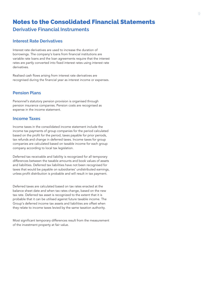## Notes to the Consolidated Financial Statements **Derivative Financial Instruments**

#### **Interest Rate Derivatives**

Interest rate derivatives are used to increase the duration of borrowings. The company's loans from financial institutions are variable rate loans and the loan agreements require that the interest rates are partly converted into fixed interest rates using interest rate derivatives.

Realised cash flows arising from interest rate derivatives are recognised during the financial year as interest income or expenses.

#### **Pension Plans**

Personnel's statutory pension provision is organised through pension insurance companies. Pension costs are recognised as expense in the income statement.

#### **Income Taxes**

Income taxes in the consolidated income statement include the income tax payments of group companies for the period calculated based on the profit for the period, taxes payable for prior periods, tax refunds and change in deferred taxes. Income taxes for group companies are calculated based on taxable income for each group company according to local tax legislation.

Deferred tax receivable and liability is recognized for all temporary differences between the taxable amounts and book values of assets and liabilities. Deferred tax liabilities have not been recognised for taxes that would be payable on subsidiaries' undistributed earnings, unless profit distribution is probable and will result in tax payment.

Deferred taxes are calculated based on tax rates enacted at the balance sheet date and when tax rates change, based on the new tax rate. Deferred tax asset is recognized to the extent that it is probable that it can be utilised against future taxable income. The Group's deferred income tax assets and liabilities are offset when they relate to income taxes levied by the same taxation authority.

Most significant temporary differences result from the measurement of the investment property at fair value.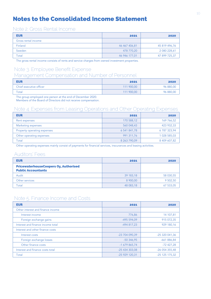# Notes to the Consolidated Income Statement

#### Note 2. Gross Rental Income

| 2021          | 2020          |
|---------------|---------------|
|               |               |
| 46 467 406,81 | 45 819 496,76 |
| 478 770,20    | 2 080 228,61  |
| 46 946 177,01 | 47 899 725,37 |
|               |               |

The gross rental income consists of rents and service charges from owned investment properties.

# Note 3. Employee Benefit Expense

## Management Compensation and Number of Personnel

| <b>EUR</b>              | 2021       | 2020      |
|-------------------------|------------|-----------|
| Chief executive officer | 111 900.00 | 96 880,00 |
| Total                   | 111 900,00 | 96 880,00 |

The group employed one person at the end of December 2020.

Members of the Board of Directors did not receive compensation.

## Note 4. Expenses from Leasing Operations and Other Operating Expenses

| <b>EUR</b>                  | 2021         | 2020         |
|-----------------------------|--------------|--------------|
| Rent expenses               | 170 588,12   | 169 766,52   |
| Marketing expenses          | 560 048,43   | 423 932,33   |
| Property operating expenses | 6 541 841,78 | 6787323,94   |
| Other operating expenses    | 991 311,76   | 1 028 585,03 |
| Total                       | 8 263 790,09 | 8 409 607,82 |

Other operating expenses mainly consist of payments for financial services, inscurances and leasing activities.

#### Auditors' Fees

| <b>EUR</b>                                                                | 2021      | 2020      |
|---------------------------------------------------------------------------|-----------|-----------|
| <b>PricewaterhouseCoopers Oy, Authorised</b><br><b>Public Accountants</b> |           |           |
| Audit                                                                     | 39 183,18 | 58 030,55 |
| Other services                                                            | 8 900,00  | 9 502,50  |
| Total                                                                     | 48 083,18 | 67 533,05 |

## Note 5. Finance Income and Costs

| <b>EUR</b>                        | 2021           | 2020           |
|-----------------------------------|----------------|----------------|
| Other interest and finance income |                |                |
| Interest income                   | 776,86         | 14 107,81      |
| Foreign exchange gains            | -495 594,09    | 915 072,35     |
| Interest and finance income total | -494 817,23    | 929 180,16     |
| Interest and other finance costs  |                |                |
| Interest costs                    | -23 704 090,39 | -25 320 041,36 |
| Foreign exchange losses           | $-50346,95$    | $-661886,84$   |
| Other finance costs               | $-1679865,74$  | $-72427,28$    |
| Interest and finance costs total  | -25 434 303,08 | -26 054 355,48 |
| Total                             | -25 929 120,31 | $-25125175,32$ |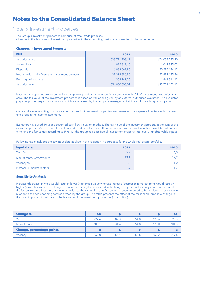# Notes to the Consolidated Balance Sheet

#### Note 6. Investment Properties

The Group's investment properties comprise of retail trade premises. Changes in the fair values of investment properties in the accounting period are presented in the table below.

| <b>Changes in Investment Property</b>              |                |                |
|----------------------------------------------------|----------------|----------------|
| <b>EUR</b>                                         | 2021           | 2020           |
| At period-start                                    | 633 771 103,12 | 674 034 245,90 |
| Acquisitions                                       | 822 312,10     | 1 042 825,03   |
| <b>Disposals</b>                                   | $-16833062,86$ | $-20285144,17$ |
| Net fair value gains/losses on investment property | 37 398 396,90  | $-22482135,26$ |
| Exchange differences                               | $-358749.25$   | 1 461 311,62   |
| At period-end                                      | 654 800 000,01 | 633 771 103,12 |

Investment properties are accounted for by applying the fair value model in accordance with IAS 40 Investment properties -standard. The fair value of the investment properties is based on valuations given by an external authorized evaluator. The evaluator prepares property-specific valuations, which are analysed by the company management at the end of each reporting period.

Gains and losses resulting from fair value changes for investment properties are presented in a separete line item within operating profit in the income statement.

Evaluators have used 10 year discounted cash flow valuation method. The fair value of the investment property is the sum of the individual property's discounted cash flow and residual value. Since there are not relevant market valuations available when determining the fair values according to IFRS 13, the group has classified all investment property into level 3 (unobservable inputs).

Following table includes the key input data applied in the valuation in aggregate for the whole real estate portfolio.

| <b>Input data</b>          | 2021 | 2020 |
|----------------------------|------|------|
| Yield %                    | 5,7  |      |
| Market rents, €/m2/month   | 13,1 |      |
| Vacancy %                  | 1.0  |      |
| Increase in market rents % | 1.9  |      |

#### Sensitivity Analysis

Increase (decrease) in yield would result in lower (higher) fair value whereas increase (decrease) in market rents would result in higher (lower) fair value. The change in market rents may be associated with changes in yield and vacancy in a manner that all the factors would affect the change in fair value to the same direction. Vacancy has been assessed to be a relevant factor only in relation to the two shopping centres owned by the group. The table presents the effect of the reasonable probable change in the most important input data to the fair value of the investment properties (EUR million).

| <b>Change %</b>                  | $-10$ | -5    |       |       | 10    |
|----------------------------------|-------|-------|-------|-------|-------|
| Yield                            | 727,6 | 689,3 | 654,8 | 623,6 | 595,3 |
| Market rents                     | 608.1 | 631.4 | 654.8 | 678,0 | 701,3 |
| <b>Change, percentage points</b> | $-2$  | $-1$  | O     |       | 2     |
| Vacancy                          | 660,0 | 657.4 | 654,8 | 652,2 | 649,6 |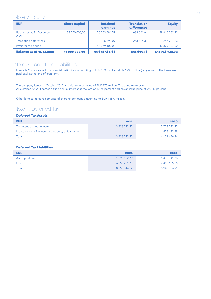## Note 7. Equity

| <b>EUR</b>                        | <b>Share capital</b> | <b>Retained</b><br>earnings | <b>Translation</b><br>differences | <b>Equity</b>  |
|-----------------------------------|----------------------|-----------------------------|-----------------------------------|----------------|
| Balance as at 31 December<br>2021 | 33 000 000,00        | 56 253 584,57               | $-638021,64$                      | 88 615 562,93  |
| <b>Translation differences</b>    |                      | 5 893.09                    | $-253614,32$                      | $-247721.23$   |
| Profit for the period             |                      | 43 379 107,02               |                                   | 43 379 107,02  |
| <b>Balance as at 31.12.2021</b>   | 33 000 000,00        | 99 638 584,68               | $-891635,96$                      | 131 746 948,72 |

## Note 8. Long Term Liabilities

Mercada Oy has loans from financial institutions amounting to EUR 159.0 million (EUR 193.5 million) at year-end. The loans are paid back at the end of loan term.

The company issued in October 2017 a senior secured bond of EUR 175 million. The bond matures on 24 October 2022. It carries a fixed annual interest at the rate of 1.875 percent and has an issue price of 99.849 percent.

Other long-term loans comprise of shareholder loans amounting to EUR 168.0 million.

## Note 9. Deferred Tax

| <b>Deferred Tax Assets</b>                       |              |              |  |
|--------------------------------------------------|--------------|--------------|--|
| <b>EUR</b>                                       | 2021         | 2020         |  |
| Tax losses carried forward                       | 3 723 242,45 | 3 723 242,45 |  |
| Measurement of investment property at fair value |              | 428 433,89   |  |
| Total                                            | 3 723 242,45 | 4 151 676,34 |  |

| <b>Deferred Tax Liabilities</b> |               |               |
|---------------------------------|---------------|---------------|
| <b>EUR</b>                      | 2021          | 2020          |
| Appropriations                  | 1 695 122,79  | 1 485 341,36  |
| Other                           | 26 658 221,73 | 17 458 625,55 |
| Total                           | 28 353 344,52 | 18 943 966,91 |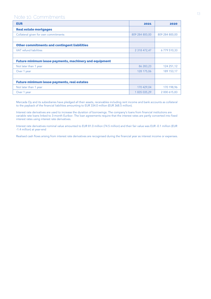## Note 10. Commitments

| <b>EUR</b>                                                    | 2021           | 2020           |
|---------------------------------------------------------------|----------------|----------------|
| <b>Real estate mortgages</b>                                  |                |                |
| Collateral given for own commitments                          | 809 284 800,00 | 809 284 800,00 |
|                                                               |                |                |
| Other commitments and contingent liabilities                  |                |                |
| <b>VAT</b> refund liabilities                                 | 2 318 472,47   | 6779510,33     |
|                                                               |                |                |
| <b>Future minimum lease payments, machinery and equipment</b> |                |                |
| Not later than 1 year                                         | 86 283,23      | 124 251,12     |
| Over 1 year                                                   | 128 175,06     | 189 153,17     |
|                                                               |                |                |
| <b>Future minimum lease payments, real estates</b>            |                |                |
| Not later than 1 year                                         | 170 429,04     | 170 198,96     |
| Over 1 year                                                   | 1835035,29     | 2 000 615,83   |

Mercada Oy and its subsidiaries have pledged all their assets, receivables including rent income and bank accounts as collateral to the payback of the financial liabilities amounting to EUR 334.0 million (EUR 368.5 million).

Interest rate derivatives are used to increase the duration of borrowings. The company's loans from financial institutions are variable rate loans linked to 3-month Euribor. The loan agreements require that the interest rates are partly converted into fixed interest rates using interest rate derivatives.

Interest rate derivatives nominal value amounted to EUR 81.0 million (74.5 million) and their fair value was EUR -0.1 million (EUR -1.4 million) at year-end

Realised cash flows arising from interest rate derivatives are recognised during the financial year as interest income or expenses.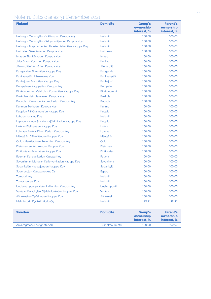## Note 11. Subsidiaries 31 December 2021

| <b>Finland</b>                                      | <b>Domicile</b>  | <b>Group's</b><br>ownership<br>interest, % | <b>Parent's</b><br>ownership<br>interest, % |
|-----------------------------------------------------|------------------|--------------------------------------------|---------------------------------------------|
| Helsingin Oulunkylän Kisällinkujan Kauppa Koy       | <b>Helsinki</b>  | 100,00                                     | 100,00                                      |
| Helsingin Oulunkylän Käskynhaltijantien Kauppa Koy  | <b>Helsinki</b>  | 100,00                                     | 100,00                                      |
| Helsingin Torpparinmäen Haastemiehentien Kauppa Koy | <b>Helsinki</b>  | 100,00                                     | 100,00                                      |
| Huittisten Särmänkadun Kauppa Koy                   | <b>Huittinen</b> | 100,00                                     | 100,00                                      |
| Imatran Tietäjänkadun Kauppa Koy                    | Imatra           | 100,00                                     | 100,00                                      |
| Jalasjärven Koskitien Kauppa Koy                    | Kurikka          | 100,00                                     | 100,00                                      |
| Järvenpään Vehnätien Kauppa Koy                     | Järvenpää        | 100,00                                     | 100,00                                      |
| Kangasalan Finnentien Kauppa Koy                    | Kangasala        | 100,00                                     | 100,00                                      |
| Kankaanpään Liikekeskus Koy                         | Kankaanpää       | 100,00                                     | 100,00                                      |
| Kauhajoen Puistotien Kauppa Koy                     | Kauhajoki        | 100,00                                     | 100,00                                      |
| Kempeleen Kauppatien Kauppa Koy                     | Kempele          | 100,00                                     | 100,00                                      |
| Kirkkonummen Veikkolan Koskentien Kauppa Koy        | Kirkkonummi      | 100,00                                     | 100,00                                      |
| Kokkolan Heinolankaaren Kauppa Koy                  | Kokkola          | 100,00                                     | 100,00                                      |
| Kouvolan Kankaron Kartanokadun Kauppa Koy           | Kouvola          | 100,00                                     | 100,00                                      |
| Kuhmon Torikadun Kauppa Koy                         | Kuhmo            | 100,00                                     | 100,00                                      |
| Kuopion Päivärannantien Kauppa Koy                  | Kuopio           | 100,00                                     | 100,00                                      |
| Lahden Karisma Koy                                  | <b>Helsinki</b>  | 100,00                                     | 100,00                                      |
| Lappeenrannan Standertskjöldinkadun Kauppa Koy      | Kuopio           | 100,00                                     | 100,00                                      |
| Lieksan Pielisentien Kauppa Koy                     | Lieksa           | 100,00                                     | 100,00                                      |
| Loimaan Aleksis Kiven Kadun Kauppa Koy              | Loimaa           | 100,00                                     | 100,00                                      |
| Mäntsälän Sälinkääntien Kauppa Koy                  | Mäntsälä         | 100,00                                     | 100,00                                      |
| Oulun Haukiputaan Revontien Kauppa Koy              | Oulu             | 100,00                                     | 100,00                                      |
| Pietarsaaren Koulukadun Kauppa Koy                  | Pietarsaari      | 100,00                                     | 100,00                                      |
| Pihtiputaan Asematien Kauppa Koy                    | Pihtipudas       | 100,00                                     | 100,00                                      |
| Rauman Karjalankadun Kauppa Koy                     | Rauma            | 100,00                                     | 100,00                                      |
| Savonlinnan Mertalan Kullervonkadun Kauppa Koy      | Savonlinna       | 100,00                                     | 100,00                                      |
| Sodankylän Haastajantien Kauppa Koy                 | Sodankylä        | 100,00                                     | 100,00                                      |
| Suomenojan Kauppakeskus Oy                          | Espoo            | 100,00                                     | 100,00                                      |
| <b>Tampuri Koy</b>                                  | <b>Helsinki</b>  | 100,00                                     | 100,00                                      |
| Tervaskangas Koy                                    | <b>Helsinki</b>  | 100,00                                     | 100,00                                      |
| Uudenkaupungin Ketunkalliontien Kauppa Koy          | Uusikaupunki     | 100,00                                     | 100,00                                      |
| Vantaan Koivukylän Ojalehdonkujan Kauppa Koy        | Vantaa           | 100,00                                     | 100,00                                      |
| Äänekosken Työskintien Kauppa Koy                   | Äänekoski        | 100,00                                     | 100,00                                      |
| Malmintorin Pysäköintitalo Oy                       | <b>Helsinki</b>  | 99,91                                      | 99,91                                       |

| <b>Sweden</b>               | <b>Domicile</b>  | <b>Group's</b><br>ownership<br>interest. % | <b>Parent's</b><br>ownership<br>interest. % |
|-----------------------------|------------------|--------------------------------------------|---------------------------------------------|
| Ankaregatans Fastigheter Ab | Tukholma, Ruotsi | 100.00                                     | 100,00                                      |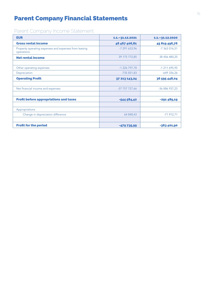# Parent Company Financial Statements

# Parent Company Income Statement

| <b>EUR</b>                                                          | 1.1.-31.12.2021 | $1.1 - 31.12.2020$ |
|---------------------------------------------------------------------|-----------------|--------------------|
| <b>Gross rental income</b>                                          | 46 467 406,81   | 45 819 496,76      |
| Property operating expenses and expenses from leasing<br>operations | -7 291 633,96   | -7 363 016,51      |
| <b>Net rental income</b>                                            | 39 175 772,85   | 38 456 480,25      |
|                                                                     |                 |                    |
| Other operating expenses                                            | $-1$ 226 797,78 | $-1$ 211 695,95    |
| Depreciation                                                        | -735 831,83     | $-649336,26$       |
| <b>Operating Profit</b>                                             | 37 213 143,24   | 36 595 448,04      |
|                                                                     |                 |                    |
| Net financial income and expenses                                   | -37 757 727,66  | -36 886 937,23     |
|                                                                     |                 |                    |
| <b>Profit before appropriations and taxes</b>                       | $-544584,42$    | -291 489,19        |
|                                                                     |                 |                    |
| Appropriations                                                      |                 |                    |
| Change in depreciation difference                                   | 64 848,43       | $-71912,71$        |
|                                                                     |                 |                    |
| <b>Profit for the period</b>                                        | $-479735.99$    | -363 401,90        |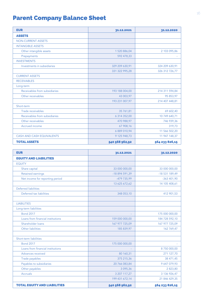# Parent Company Balance Sheet

| <b>EUR</b>                    | 31.12.2021     | 31.12.2020     |
|-------------------------------|----------------|----------------|
| <b>ASSETS</b>                 |                |                |
| <b>NON-CURRENT ASSETS</b>     |                |                |
| <b>INTANGIBLE ASSETS</b>      |                |                |
| Other intangible assets       | 1 520 886,04   | 2 103 095,86   |
| Prepayments                   | 592 478,33     |                |
| <b>INVESTMENTS</b>            |                |                |
| Investments in subsidiaries   | 329 209 630,91 | 324 209 630,91 |
|                               | 331 322 995,28 | 326 312 726,77 |
| <b>CURRENT ASSETS</b>         |                |                |
| <b>RECEIVABLES</b>            |                |                |
| Long-term                     |                |                |
| Receivables from subsidiaries | 193 188 004,00 | 214 311 594,84 |
| Other receivables             | 43 003,97      | 95 853,97      |
|                               | 193 231 007,97 | 214 407 448,81 |
| Short-term                    |                |                |
| Trade receivables             | 35 761,81      | 69 602,40      |
| Receivables from subsidiaries | 6 314 352,00   | 10 749 640,71  |
| Other receivables             | 470 988,97     | 746 939,36     |
| Accrued income                | 67 908,16      | 319,73         |
|                               | 6 889 010,94   | 11 566 502,20  |
| CASH AND CASH EQUIVALENTS     | 9 125 948,73   | 11 947 148,37  |
| <b>TOTAL ASSETS</b>           | 540 568 962,92 | 564 233 826,15 |

| <b>EUR</b>                          | 31.12.2021     | 31.12.2020     |
|-------------------------------------|----------------|----------------|
| <b>EQUITY AND LIABILITIES</b>       |                |                |
| <b>EQUITY</b>                       |                |                |
| Share capital                       | 33 000 000,00  | 33 000 000,00  |
| <b>Retained earnings</b>            | -18 894 591,39 | -18 531 189,49 |
| Net income for reporting period     | -479 735,99    | $-363401,90$   |
|                                     | 13 625 672,62  | 14 105 408,61  |
| <b>Deferred liabilities</b>         |                |                |
| Deferred tax liabilities            | 348 053,10     | 412 901,53     |
|                                     |                |                |
| <b>LIABILITIES</b>                  |                |                |
| Long-term liabilities               |                |                |
| <b>Bond 2017</b>                    |                | 175 000 000,00 |
| Loans from financial institutions   | 159 000 000,00 | 184 728 592,10 |
| Shareholder loans                   | 167 977 725,09 | 167 977 725,09 |
| Other liabilities                   | 185 839,97     | 162 769,47     |
|                                     |                |                |
| Short-term liabilities              |                |                |
| <b>Bond 2017</b>                    | 175 000 000,00 |                |
| Loans from financial institutions   |                | 8750000,00     |
| Advances received                   | 80 160,31      | 271 127,70     |
| Trade payables                      | 375 215,36     | 38 471,45      |
| Payables to subsidiaries            | 20 766 083,84  | 9 647 079,93   |
| Other payables                      | 3 095,36       | 2 823,80       |
| <b>Accruals</b>                     | 3 207 117,27   | 3 136 926,47   |
|                                     | 199 431 672,14 | 21 846 429,35  |
| <b>TOTAL EQUITY AND LIABILITIES</b> | 540 568 962,92 | 564 233 826,15 |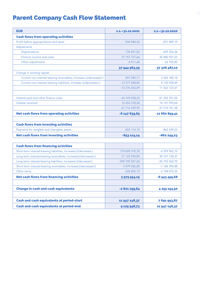# Parent Company Cash Flow Statement

| <b>EUR</b>                                                         | $1.1 - 31.12.2021$ | 1.1. - 31.12.2020 |
|--------------------------------------------------------------------|--------------------|-------------------|
| <b>Cash flows from operating activities</b>                        |                    |                   |
| Profit before appropriations and taxes                             | $-544584.42$       | $-291489,19$      |
| Adjustments                                                        |                    |                   |
| Depreciations                                                      | 735 831.83         | 649 336.26        |
| Finance income and costs                                           | 37 757 727,66      | 36 886 937.23     |
| Other adjustments                                                  | $-4011,68$         | 63 702,82         |
|                                                                    | 37 944 963,39      | 37 308 487,12     |
| Change in working capital                                          |                    |                   |
| Current non-interest bearing receivables, increase (-)/decrease(+) | 201 585.71         | 3 432 185.18      |
| Current non-interest bearing liabilities, increase (-)/decrease(+) | -12 577 848,80     | 8 130 938,49      |
|                                                                    | -12 376 263,09     | 11 563 123,67     |
|                                                                    |                    |                   |
| Interest paid and other finance costs                              | -44 169 658,23     | -51 352 351,02    |
| Interest received                                                  | 12 453 318,28      | 14 141 599,64     |
|                                                                    | -31 716 339,95     | -37 210 751,38    |
| <b>Net cash flows from operating activities</b>                    | $-6$ 147 639,65    | 11 660 859,41     |
|                                                                    |                    |                   |
| <b>Cash flows from investing activities</b>                        |                    |                   |
| Payments for tangible and intangible assets                        | $-653$ 114,14      | $-862249,23$      |
| <b>Net cash flows from investing activities</b>                    | $-653114,14$       | $-862249,23$      |

| <b>Cash flows from financing activities</b>                      |                 |                 |
|------------------------------------------------------------------|-----------------|-----------------|
| Short-term interest-bearing liabilities, increase(+)/decrease(-) | 179 609 310,78  | $-6$ 559 962,12 |
| Long-term interest-bearing receivables, increase(-)/decrease(+)  | 21 123 590.84   | 30 101 130.37   |
| Long-term interest-bearing liabilities, increase(+)/decrease(-)  | -200 705 521,60 | $-26752262,70$  |
| Short-term interest-bearing receivables, increase(-)/decrease(+) | 4 479 026,85    | $-1$ 184 290,88 |
| Other items                                                      | $-526852,72$    | $-2$ 148 070.35 |
| <b>Net cash flows from financing activities</b>                  | 3979554,15      | $-6543455,68$   |
|                                                                  |                 |                 |
| <b>Change in cash and cash equivalents</b>                       | -2821199,64     | 4 255 154,50    |
|                                                                  |                 |                 |
| <b>Cash and cash equivalents at period-start</b>                 | 11 947 148,37   | 7691993,87      |
|                                                                  |                 |                 |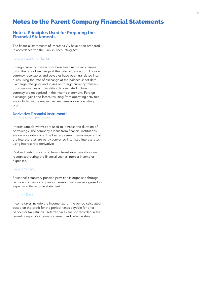## Notes to the Parent Company Financial Statements

#### **Note 1. Principles Used for Preparing the Financial Statements**

The financial statements of Mercada Oy have been prepared in accordance wih the Finnish Accounting Act.

#### Foreign Currency Items

Foreign currency transactions have been recorded in euros using the rate of exchange at the date of transaction. Foreign currency receivables and payables have been translated into euros using the rate of exchange at the balance sheet date. Exchange rate gains and losses on foreign currency transactions, receivables and liabilities denominated in foreign currency are recognised in the income statement. Foreign exchange gains and losses resulting from operating activities are included in the respective line items above operating profit.

#### **Derivative Financial Instruments**

Interest Rate Derivatives

Interest rate derivatives are used to increase the duration of borrowings. The company's loans from financial institutions are variable rate loans. The loan agreement terms require that the interest rates are partly converted into fixed interest rates using interest rate derivatives.

Realised cash flows arising from interest rate derivatives are recognised during the financial year as interest income or expenses.

#### Pension Plans

Personnel's statutory pension provision is organised through pension insurance companies. Pension costs are recognised as expense in the income statement.

#### Income Taxes

Income taxes include the income tax for the period calculated based on the profit for the period, taxes payable for prior periods or tax refunds. Deferred taxes are not recorded in the parent company's income statement and balance sheet.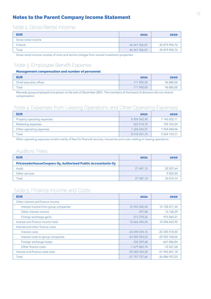## Notes to the Parent Company Income Statement

## Note 2. Gross Rental Income

| <b>EUR</b>          | 2021          | 2020          |
|---------------------|---------------|---------------|
| Gross rental income |               |               |
| Finland             | 46 467 406,81 | 45 819 496,76 |
| Total               | 46 467 406,81 | 45 819 496,76 |
|                     |               |               |

Gross rental income consists of rents and service charges from owned investment properties.

## Note 3. Employee Benefit Expense

#### Management compensation and number of personnel

| <b>EUR</b>              | 2021       | 2020      |
|-------------------------|------------|-----------|
| Chief executive officer | 111 900,00 | 96 880,00 |
| Total                   | 111 900,00 | 96 880,00 |

Mercada group employed one person at the end of December 2021. The members of the board of directors did not receive compensation.

## Note 4. Expenses from Leasing Operations and Other Operating Expenses

| <b>EUR</b>                  | 2021               | 2020         |
|-----------------------------|--------------------|--------------|
| Property operating expenses | 6 926 562,45       | 7 140 202,11 |
| Marketing expenses          | 323 214,72         | 159 103,54   |
| Other operating expenses    | 1 268 654,57       | 1 924 848,06 |
| Total                       | 8 5 18 4 3 1 , 7 4 | 9 224 153,71 |

Other operating expenses consist mainly of fees for financial services, insurances and costs relating to leasing operations.

## Auditors' Fees

| <b>EUR</b>                                                         | 2021      | 2020      |
|--------------------------------------------------------------------|-----------|-----------|
| <b>PricewaterhouseCoopers Oy, Authorised Public Accountants Oy</b> |           |           |
| Audit                                                              | 27 487,10 | 25 507,64 |
| Other services                                                     |           | 9 502,50  |
| Total                                                              | 27 487,10 | 35 010,14 |

## Note 5. Finance Income and Costs

| <b>EUR</b>                           | 2021           | 2020           |
|--------------------------------------|----------------|----------------|
| Other interest and finance income    |                |                |
| Interest income from group companies | 12 453 020,40  | 14 128 471,35  |
| Other interest income                | 297,88         | 13 128,29      |
| Foreign exchange gains               | 213 378,26     | 915 064,31     |
| Interest and finance income total    | 12 666 696,54  | 15 056 663,95  |
| Interest and other finance costs     |                |                |
| Interest costs                       | -23 698 424,76 | $-25305518,50$ |
| Interest costs to group companies    | -24 285 924,02 | -25 903 768,56 |
| Foreign exchange losses              | -760 209,68    | $-661886.84$   |
| Other finance costs                  | $-1679865,74$  | $-72427,28$    |
| Interest and finance costs total     | -50 424 424,20 | -51 943 601,18 |
| Total                                | -37 757 727,66 | -36 886 937,23 |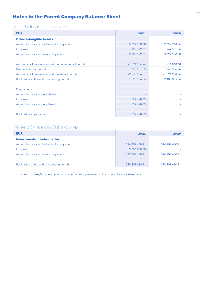## Notes to the Parent Company Balance Sheet

## Note 6. Intangible Assets

| <b>EUR</b>                                           | 2021                     | 2020          |
|------------------------------------------------------|--------------------------|---------------|
| <b>Other Intangible Assets</b>                       |                          |               |
| Acquisition costs at the beginning of period         | 3 627 300,80             | 2 659 948,94  |
| Increases                                            | 153 622,01               | 967 351,86    |
| Acquisition costs at the end of period               | 3780922,81               | 3 627 300,80  |
|                                                      |                          |               |
| Accumulated depreciations at the beginning of period | $-1$ 524 204,94          | $-874868,68$  |
| Depreciation for period                              | $-735831,83$             | $-649336,26$  |
| Accumulated depreciations at the end of period       | $-2260036,77$            | -1 524 204,94 |
| Book value at the end of reporting period            | 1 520 886,04             | 2 103 095,86  |
|                                                      |                          |               |
| Prepayments                                          |                          |               |
| Acquisition costs at period-start                    | $\overline{\phantom{a}}$ |               |
| Increases                                            | 592 478,33               |               |
| Acquisition costs at period-end                      | 592 478,33               |               |
|                                                      |                          |               |
| Book value at period-end                             | 592 478,33               |               |

## Note 7. Shares in Subsidiaries

| <b>EUR</b>                                   | 2021           | 2020           |
|----------------------------------------------|----------------|----------------|
| <b>Investments in subsidiaries</b>           |                |                |
| Acquisition costs at the beginning of period | 324 209 630,91 | 324 209 630,91 |
| <i><u><b>Increases</b></u></i>               | 5 000 000,00   |                |
| Acquisition costs at the end of period       | 329 209 630,91 | 324 209 630,91 |
|                                              |                |                |
| Book value at the end of reporting period    | 329 209 630,91 | 324 209 630,91 |

Parent company's ownership in group companies is presented in the group's balance sheet notes.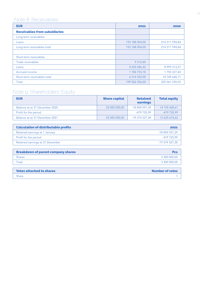# Note 8. Receivables

| <b>EUR</b>                           | 2021           | 2020           |
|--------------------------------------|----------------|----------------|
| <b>Receivables from subsidiaries</b> |                |                |
| Long-term receivables                |                |                |
| Loans                                | 193 188 004,00 | 214 311 594,84 |
| Long-term receivables total          | 193 188 004,00 | 214 311 594,84 |
|                                      |                |                |
| Short-term receivables               |                |                |
| Trade receivables                    | 9 3 1 2,40     | ٠              |
| Loans                                | 4 520 286,42   | 8 999 313,27   |
| Accrued income                       | 1784753,18     | 1 750 327,44   |
| Short-term receivables total         | 6 314 352,00   | 10 749 640,71  |
| Total                                | 199 502 356,00 | 225 061 235,55 |

# Note 9. Shareholders' Equity

| <b>EUR</b>                     | <b>Share capital</b> | <b>Retained</b><br>earnings | <b>Total equity</b> |
|--------------------------------|----------------------|-----------------------------|---------------------|
| Balance as at 31 December 2020 | 33 000 000,00        | $-18894591,39$              | 14 105 408,61       |
| Profit for the period          |                      | -479 735,99                 | -479 735,99         |
| Balance as at 31 December 2021 | 33 000 000,00        | $-19$ 374 327,38            | 13 625 672,62       |

| <b>Calculation of distributable profits</b> | 2021           |
|---------------------------------------------|----------------|
| Retained earnings at 1 January              | -18 894 591,39 |
| Profit for the period                       | -479 735.99    |
| Retained earnings at 31 December            | -19 374 327,38 |
|                                             |                |
| <b>Breakdown of parent company shares</b>   | Pcs            |
| <b>Shares</b>                               | 3 300 000,00   |

Total 3 300 000,00

| <b>Votes attached to shares</b> | <b>Number of votes</b> |
|---------------------------------|------------------------|
| Share                           |                        |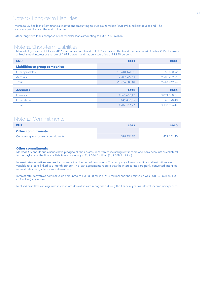## Note 10. Long-term Liabilities

Mercada Oy has loans from financial institutions amounting to EUR 159.0 million (EUR 193.5 million) at year-end. The loans are paid back at the end of loan term.

Other long-term loans comprise of shareholder loans amounting to EUR 168.0 million.

#### Note 11. Short-term Liabilities

Mercada Oy issued in October 2017 a senior secured bond of EUR 175 million. The bond matures on 24 October 2022. It carries a fixed annual interest at the rate of 1.875 percent and has an issue price of 99.849 percent.

| <b>EUR</b>                            | 2021          | 2020         |
|---------------------------------------|---------------|--------------|
| <b>Liabilities to group companies</b> |               |              |
| Other payables                        | 13 418 161,70 | 58 850,92    |
| <b>Accruals</b>                       | 7 347 922,14  | 9 588 229,01 |
| Total                                 | 20 766 083,84 | 9 647 079,93 |
|                                       |               |              |
| <b>Accruals</b>                       | 2021          | 2020         |
| Interests                             | 3 065 618,42  | 3 091 528,07 |
| Other items                           | 141 498,85    | 45 398,40    |
| Total                                 | 3 207 117,27  | 3 136 926,47 |

### Note 12. Commitments

| <b>EUR</b>                           | 2021       | 2020       |
|--------------------------------------|------------|------------|
| <b>Other commitments</b>             |            |            |
| Collateral given for own commitments | 398 494,98 | 429 151,40 |

#### Other commitments

Mercada Oy and its subsidiaries have pledged all their assets, receivables including rent income and bank accounts as collateral to the payback of the financial liabilities amounting to EUR 334.0 million (EUR 368.5 million).

Interest rate derivatives are used to increase the duration of borrowings. The company's loans from financial institutions are variable rate loans linked to 3-month Euribor. The loan agreements require that the interest rates are partly converted into fixed interest rates using interest rate derivatives.

Interest rate derivatives nominal value amounted to EUR 81.0 million (74.5 million) and their fair value was EUR -0.1 million (EUR -1.4 million) at year-end.

Realised cash flows arising from interest rate derivatives are recognised during the financial year as interest income or expenses.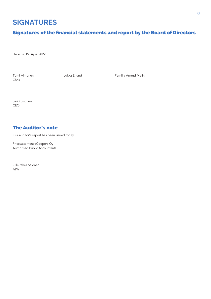# **SIGNATURES**

## Signatures of the financial statements and report by the Board of Directors

Helsinki, 19. April 2022

Chair

Tomi Aimonen Jukka Erlund Pernilla Arnrud Melin

Jari Koistinen CEO

## **The Auditor's note**

Our auditor's report has been issued today.

PricewaterhouseCoopers Oy Authorised Public Accountants

Olli-Pekka Salonen **APA**